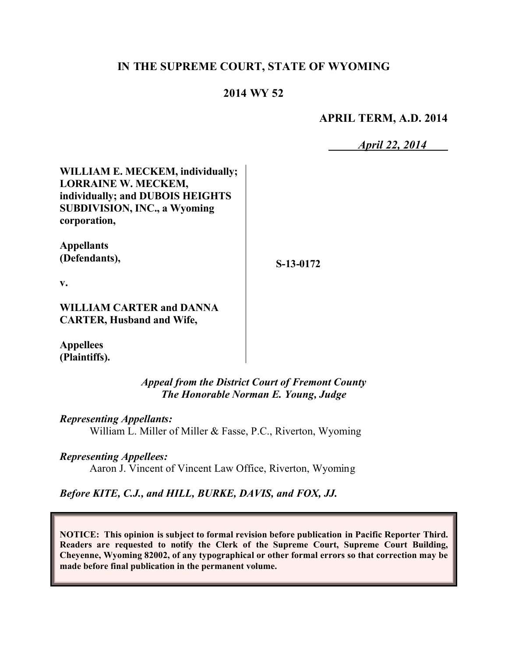# **IN THE SUPREME COURT, STATE OF WYOMING**

## **2014 WY 52**

**APRIL TERM, A.D. 2014**

*April 22, 2014*

**WILLIAM E. MECKEM, individually; LORRAINE W. MECKEM, individually; and DUBOIS HEIGHTS SUBDIVISION, INC., a Wyoming corporation,**

**Appellants (Defendants),**

**S-13-0172**

**v.**

**WILLIAM CARTER and DANNA CARTER, Husband and Wife,**

**Appellees (Plaintiffs).**

> *Appeal from the District Court of Fremont County The Honorable Norman E. Young, Judge*

*Representing Appellants:*

William L. Miller of Miller & Fasse, P.C., Riverton, Wyoming

*Representing Appellees:*

Aaron J. Vincent of Vincent Law Office, Riverton, Wyoming

*Before KITE, C.J., and HILL, BURKE, DAVIS, and FOX, JJ.*

**NOTICE: This opinion is subject to formal revision before publication in Pacific Reporter Third. Readers are requested to notify the Clerk of the Supreme Court, Supreme Court Building, Cheyenne, Wyoming 82002, of any typographical or other formal errors so that correction may be made before final publication in the permanent volume.**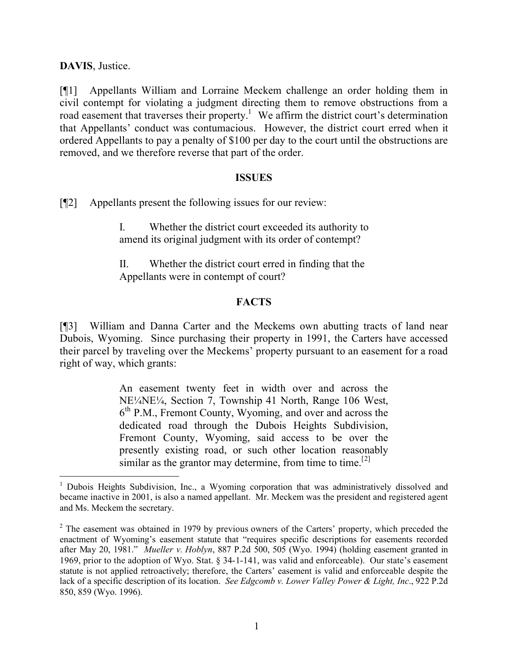**DAVIS**, Justice.

[¶1] Appellants William and Lorraine Meckem challenge an order holding them in civil contempt for violating a judgment directing them to remove obstructions from a road easement that traverses their property.<sup>1</sup> We affirm the district court's determination that Appellants' conduct was contumacious. However, the district court erred when it ordered Appellants to pay a penalty of \$100 per day to the court until the obstructions are removed, and we therefore reverse that part of the order.

#### **ISSUES**

[¶2] Appellants present the following issues for our review:

I. Whether the district court exceeded its authority to amend its original judgment with its order of contempt?

II. Whether the district court erred in finding that the Appellants were in contempt of court?

### **FACTS**

[¶3] William and Danna Carter and the Meckems own abutting tracts of land near Dubois, Wyoming. Since purchasing their property in 1991, the Carters have accessed their parcel by traveling over the Meckems' property pursuant to an easement for a road right of way, which grants:

> An easement twenty feet in width over and across the NE¼NE¼, Section 7, Township 41 North, Range 106 West, 6 th P.M., Fremont County, Wyoming, and over and across the dedicated road through the Dubois Heights Subdivision, Fremont County, Wyoming, said access to be over the presently existing road, or such other location reasonably similar as the grantor may determine, from time to time.<sup>[2]</sup>

<sup>&</sup>lt;sup>1</sup> Dubois Heights Subdivision, Inc., a Wyoming corporation that was administratively dissolved and became inactive in 2001, is also a named appellant. Mr. Meckem was the president and registered agent and Ms. Meckem the secretary.

 $2$  The easement was obtained in 1979 by previous owners of the Carters' property, which preceded the enactment of Wyoming's easement statute that "requires specific descriptions for easements recorded after May 20, 1981." *Mueller v. Hoblyn*, 887 P.2d 500, 505 (Wyo. 1994) (holding easement granted in 1969, prior to the adoption of Wyo. Stat. § 34-1-141, was valid and enforceable). Our state's easement statute is not applied retroactively; therefore, the Carters' easement is valid and enforceable despite the lack of a specific description of its location. *See Edgcomb v. Lower Valley Power & Light, Inc*., 922 P.2d 850, 859 (Wyo. 1996).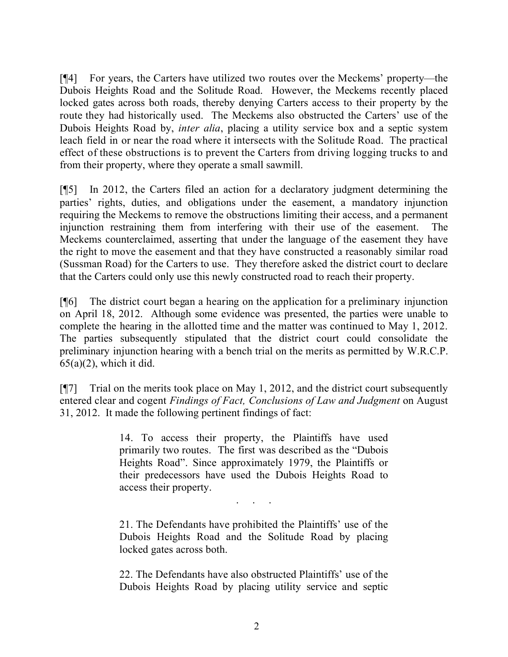[¶4] For years, the Carters have utilized two routes over the Meckems' property—the Dubois Heights Road and the Solitude Road. However, the Meckems recently placed locked gates across both roads, thereby denying Carters access to their property by the route they had historically used. The Meckems also obstructed the Carters' use of the Dubois Heights Road by, *inter alia*, placing a utility service box and a septic system leach field in or near the road where it intersects with the Solitude Road. The practical effect of these obstructions is to prevent the Carters from driving logging trucks to and from their property, where they operate a small sawmill.

[¶5] In 2012, the Carters filed an action for a declaratory judgment determining the parties' rights, duties, and obligations under the easement, a mandatory injunction requiring the Meckems to remove the obstructions limiting their access, and a permanent injunction restraining them from interfering with their use of the easement. The Meckems counterclaimed, asserting that under the language of the easement they have the right to move the easement and that they have constructed a reasonably similar road (Sussman Road) for the Carters to use. They therefore asked the district court to declare that the Carters could only use this newly constructed road to reach their property.

[¶6] The district court began a hearing on the application for a preliminary injunction on April 18, 2012. Although some evidence was presented, the parties were unable to complete the hearing in the allotted time and the matter was continued to May 1, 2012. The parties subsequently stipulated that the district court could consolidate the preliminary injunction hearing with a bench trial on the merits as permitted by W.R.C.P.  $65(a)(2)$ , which it did.

[¶7] Trial on the merits took place on May 1, 2012, and the district court subsequently entered clear and cogent *Findings of Fact, Conclusions of Law and Judgment* on August 31, 2012. It made the following pertinent findings of fact:

> 14. To access their property, the Plaintiffs have used primarily two routes. The first was described as the "Dubois Heights Road". Since approximately 1979, the Plaintiffs or their predecessors have used the Dubois Heights Road to access their property.

> > . . . . .<br>. . . . . .

21. The Defendants have prohibited the Plaintiffs' use of the Dubois Heights Road and the Solitude Road by placing locked gates across both.

22. The Defendants have also obstructed Plaintiffs' use of the Dubois Heights Road by placing utility service and septic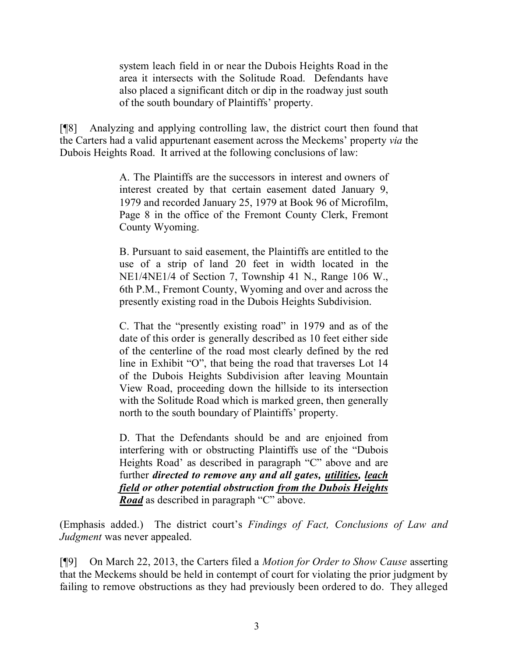system leach field in or near the Dubois Heights Road in the area it intersects with the Solitude Road. Defendants have also placed a significant ditch or dip in the roadway just south of the south boundary of Plaintiffs' property.

[¶8] Analyzing and applying controlling law, the district court then found that the Carters had a valid appurtenant easement across the Meckems' property *via* the Dubois Heights Road. It arrived at the following conclusions of law:

> A. The Plaintiffs are the successors in interest and owners of interest created by that certain easement dated January 9, 1979 and recorded January 25, 1979 at Book 96 of Microfilm, Page 8 in the office of the Fremont County Clerk, Fremont County Wyoming.

> B. Pursuant to said easement, the Plaintiffs are entitled to the use of a strip of land 20 feet in width located in the NE1/4NE1/4 of Section 7, Township 41 N., Range 106 W., 6th P.M., Fremont County, Wyoming and over and across the presently existing road in the Dubois Heights Subdivision.

> C. That the "presently existing road" in 1979 and as of the date of this order is generally described as 10 feet either side of the centerline of the road most clearly defined by the red line in Exhibit "O", that being the road that traverses Lot 14 of the Dubois Heights Subdivision after leaving Mountain View Road, proceeding down the hillside to its intersection with the Solitude Road which is marked green, then generally north to the south boundary of Plaintiffs' property.

> D. That the Defendants should be and are enjoined from interfering with or obstructing Plaintiffs use of the "Dubois Heights Road' as described in paragraph "C" above and are further *directed to remove any and all gates, utilities, leach field or other potential obstruction from the Dubois Heights Road* as described in paragraph "C" above.

(Emphasis added.) The district court's *Findings of Fact, Conclusions of Law and Judgment* was never appealed.

[¶9] On March 22, 2013, the Carters filed a *Motion for Order to Show Cause* asserting that the Meckems should be held in contempt of court for violating the prior judgment by failing to remove obstructions as they had previously been ordered to do. They alleged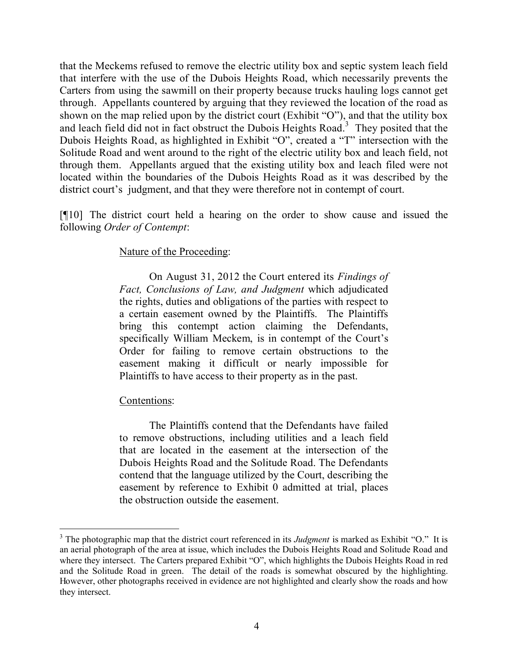that the Meckems refused to remove the electric utility box and septic system leach field that interfere with the use of the Dubois Heights Road, which necessarily prevents the Carters from using the sawmill on their property because trucks hauling logs cannot get through. Appellants countered by arguing that they reviewed the location of the road as shown on the map relied upon by the district court (Exhibit "O"), and that the utility box and leach field did not in fact obstruct the Dubois Heights Road.<sup>3</sup> They posited that the Dubois Heights Road, as highlighted in Exhibit "O", created a "T" intersection with the Solitude Road and went around to the right of the electric utility box and leach field, not through them. Appellants argued that the existing utility box and leach filed were not located within the boundaries of the Dubois Heights Road as it was described by the district court's judgment, and that they were therefore not in contempt of court.

[¶10] The district court held a hearing on the order to show cause and issued the following *Order of Contempt*:

### Nature of the Proceeding:

On August 31, 2012 the Court entered its *Findings of Fact, Conclusions of Law, and Judgment* which adjudicated the rights, duties and obligations of the parties with respect to a certain easement owned by the Plaintiffs. The Plaintiffs bring this contempt action claiming the Defendants, specifically William Meckem, is in contempt of the Court's Order for failing to remove certain obstructions to the easement making it difficult or nearly impossible for Plaintiffs to have access to their property as in the past.

### Contentions:

 $\overline{a}$ 

The Plaintiffs contend that the Defendants have failed to remove obstructions, including utilities and a leach field that are located in the easement at the intersection of the Dubois Heights Road and the Solitude Road. The Defendants contend that the language utilized by the Court, describing the easement by reference to Exhibit 0 admitted at trial, places the obstruction outside the easement.

<sup>3</sup> The photographic map that the district court referenced in its *Judgment* is marked as Exhibit "O." It is an aerial photograph of the area at issue, which includes the Dubois Heights Road and Solitude Road and where they intersect. The Carters prepared Exhibit "O", which highlights the Dubois Heights Road in red and the Solitude Road in green. The detail of the roads is somewhat obscured by the highlighting. However, other photographs received in evidence are not highlighted and clearly show the roads and how they intersect.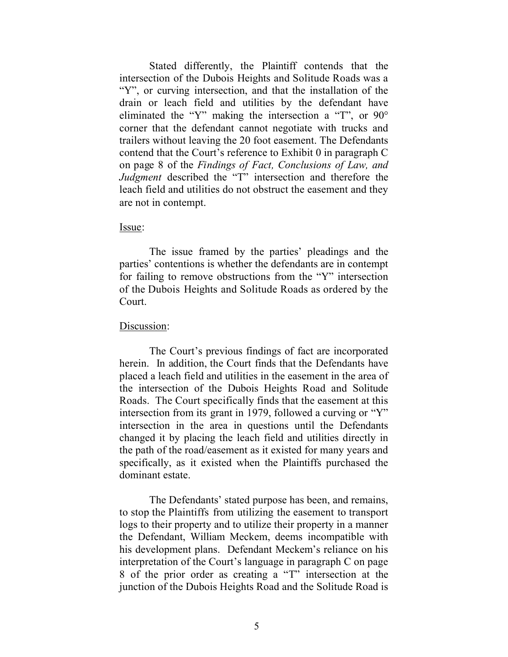Stated differently, the Plaintiff contends that the intersection of the Dubois Heights and Solitude Roads was a "Y", or curving intersection, and that the installation of the drain or leach field and utilities by the defendant have eliminated the "Y" making the intersection a "T", or 90° corner that the defendant cannot negotiate with trucks and trailers without leaving the 20 foot easement. The Defendants contend that the Court's reference to Exhibit 0 in paragraph C on page 8 of the *Findings of Fact, Conclusions of Law, and Judgment* described the "T" intersection and therefore the leach field and utilities do not obstruct the easement and they are not in contempt.

#### Issue:

The issue framed by the parties' pleadings and the parties' contentions is whether the defendants are in contempt for failing to remove obstructions from the "Y" intersection of the Dubois Heights and Solitude Roads as ordered by the Court.

### Discussion:

The Court's previous findings of fact are incorporated herein. In addition, the Court finds that the Defendants have placed a leach field and utilities in the easement in the area of the intersection of the Dubois Heights Road and Solitude Roads. The Court specifically finds that the easement at this intersection from its grant in 1979, followed a curving or "Y" intersection in the area in questions until the Defendants changed it by placing the leach field and utilities directly in the path of the road/easement as it existed for many years and specifically, as it existed when the Plaintiffs purchased the dominant estate.

The Defendants' stated purpose has been, and remains, to stop the Plaintiffs from utilizing the easement to transport logs to their property and to utilize their property in a manner the Defendant, William Meckem, deems incompatible with his development plans. Defendant Meckem's reliance on his interpretation of the Court's language in paragraph C on page 8 of the prior order as creating a "T" intersection at the junction of the Dubois Heights Road and the Solitude Road is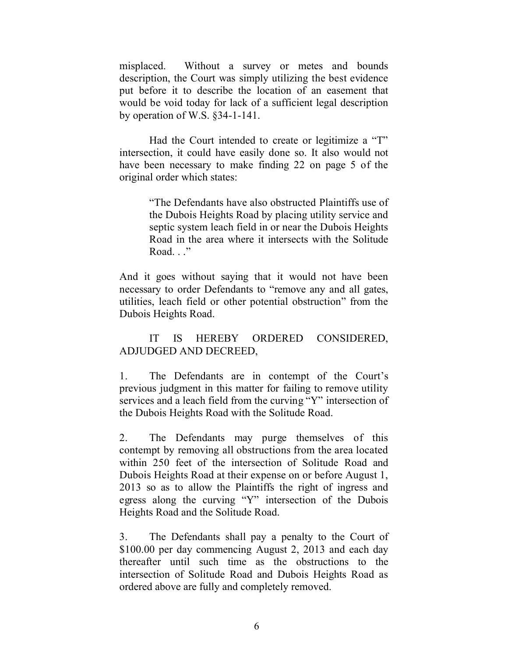misplaced. Without a survey or metes and bounds description, the Court was simply utilizing the best evidence put before it to describe the location of an easement that would be void today for lack of a sufficient legal description by operation of W.S. §34-1-141.

Had the Court intended to create or legitimize a "T" intersection, it could have easily done so. It also would not have been necessary to make finding 22 on page 5 of the original order which states:

> "The Defendants have also obstructed Plaintiffs use of the Dubois Heights Road by placing utility service and septic system leach field in or near the Dubois Heights Road in the area where it intersects with the Solitude Road. . ."

And it goes without saying that it would not have been necessary to order Defendants to "remove any and all gates, utilities, leach field or other potential obstruction" from the Dubois Heights Road.

# IT IS HEREBY ORDERED CONSIDERED, ADJUDGED AND DECREED,

1. The Defendants are in contempt of the Court's previous judgment in this matter for failing to remove utility services and a leach field from the curving "Y" intersection of the Dubois Heights Road with the Solitude Road.

2. The Defendants may purge themselves of this contempt by removing all obstructions from the area located within 250 feet of the intersection of Solitude Road and Dubois Heights Road at their expense on or before August 1, 2013 so as to allow the Plaintiffs the right of ingress and egress along the curving "Y" intersection of the Dubois Heights Road and the Solitude Road.

3. The Defendants shall pay a penalty to the Court of \$100.00 per day commencing August 2, 2013 and each day thereafter until such time as the obstructions to the intersection of Solitude Road and Dubois Heights Road as ordered above are fully and completely removed.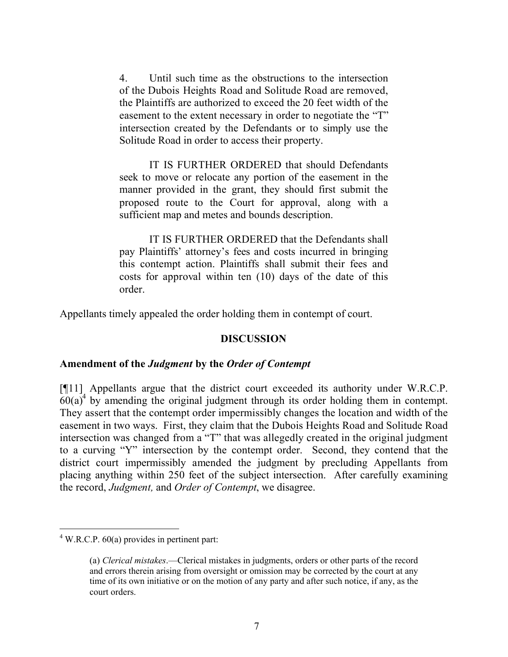4. Until such time as the obstructions to the intersection of the Dubois Heights Road and Solitude Road are removed, the Plaintiffs are authorized to exceed the 20 feet width of the easement to the extent necessary in order to negotiate the "T" intersection created by the Defendants or to simply use the Solitude Road in order to access their property.

IT IS FURTHER ORDERED that should Defendants seek to move or relocate any portion of the easement in the manner provided in the grant, they should first submit the proposed route to the Court for approval, along with a sufficient map and metes and bounds description.

IT IS FURTHER ORDERED that the Defendants shall pay Plaintiffs' attorney's fees and costs incurred in bringing this contempt action. Plaintiffs shall submit their fees and costs for approval within ten (10) days of the date of this order.

Appellants timely appealed the order holding them in contempt of court.

### **DISCUSSION**

### **Amendment of the** *Judgment* **by the** *Order of Contempt*

[¶11] Appellants argue that the district court exceeded its authority under W.R.C.P.  $60(a)^4$  by amending the original judgment through its order holding them in contempt. They assert that the contempt order impermissibly changes the location and width of the easement in two ways. First, they claim that the Dubois Heights Road and Solitude Road intersection was changed from a "T" that was allegedly created in the original judgment to a curving "Y" intersection by the contempt order. Second, they contend that the district court impermissibly amended the judgment by precluding Appellants from placing anything within 250 feet of the subject intersection. After carefully examining the record, *Judgment,* and *Order of Contempt*, we disagree.

 $\overline{a}$ 

 $4$  W.R.C.P. 60(a) provides in pertinent part:

<sup>(</sup>a) *Clerical mistakes*.—Clerical mistakes in judgments, orders or other parts of the record and errors therein arising from oversight or omission may be corrected by the court at any time of its own initiative or on the motion of any party and after such notice, if any, as the court orders.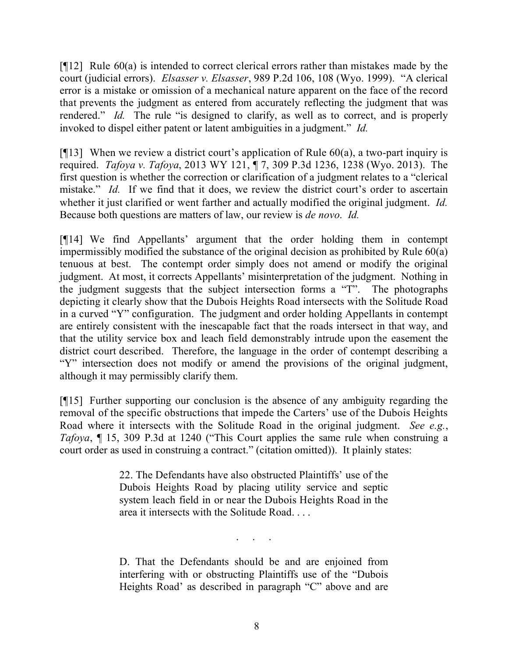[ $[12]$ ] Rule 60(a) is intended to correct clerical errors rather than mistakes made by the court (judicial errors). *Elsasser v. Elsasser*, 989 P.2d 106, 108 (Wyo. 1999). "A clerical error is a mistake or omission of a mechanical nature apparent on the face of the record that prevents the judgment as entered from accurately reflecting the judgment that was rendered." *Id.* The rule "is designed to clarify, as well as to correct, and is properly invoked to dispel either patent or latent ambiguities in a judgment." *Id.* 

[ $[13]$ ] When we review a district court's application of Rule 60(a), a two-part inquiry is required. *Tafoya v. Tafoya*, 2013 WY 121, ¶ 7, 309 P.3d 1236, 1238 (Wyo. 2013). The first question is whether the correction or clarification of a judgment relates to a "clerical mistake." *Id.* If we find that it does, we review the district court's order to ascertain whether it just clarified or went farther and actually modified the original judgment. *Id.* Because both questions are matters of law, our review is *de novo*. *Id.*

[¶14] We find Appellants' argument that the order holding them in contempt impermissibly modified the substance of the original decision as prohibited by Rule 60(a) tenuous at best. The contempt order simply does not amend or modify the original judgment. At most, it corrects Appellants' misinterpretation of the judgment. Nothing in the judgment suggests that the subject intersection forms a "T". The photographs depicting it clearly show that the Dubois Heights Road intersects with the Solitude Road in a curved "Y" configuration. The judgment and order holding Appellants in contempt are entirely consistent with the inescapable fact that the roads intersect in that way, and that the utility service box and leach field demonstrably intrude upon the easement the district court described. Therefore, the language in the order of contempt describing a "Y" intersection does not modify or amend the provisions of the original judgment, although it may permissibly clarify them.

[¶15] Further supporting our conclusion is the absence of any ambiguity regarding the removal of the specific obstructions that impede the Carters' use of the Dubois Heights Road where it intersects with the Solitude Road in the original judgment. *See e.g.*, *Tafoya*, ¶ 15, 309 P.3d at 1240 ("This Court applies the same rule when construing a court order as used in construing a contract." (citation omitted)). It plainly states:

> 22. The Defendants have also obstructed Plaintiffs' use of the Dubois Heights Road by placing utility service and septic system leach field in or near the Dubois Heights Road in the area it intersects with the Solitude Road. . . .

D. That the Defendants should be and are enjoined from interfering with or obstructing Plaintiffs use of the "Dubois Heights Road' as described in paragraph "C" above and are

. . . . .<br>. . . . . .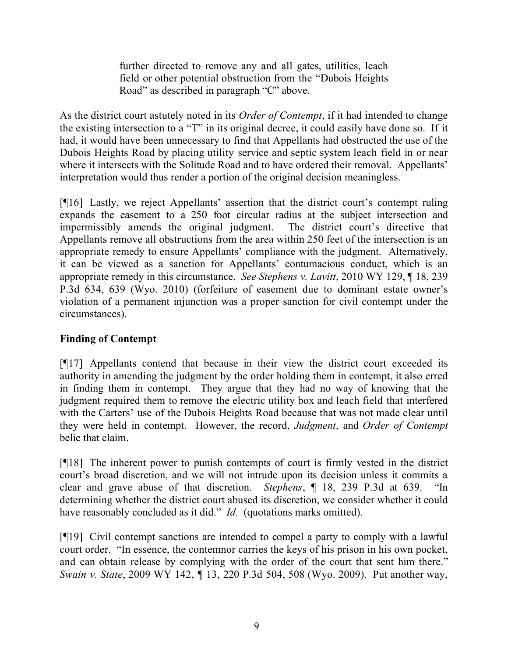further directed to remove any and all gates, utilities, leach field or other potential obstruction from the "Dubois Heights Road" as described in paragraph "C" above.

As the district court astutely noted in its *Order of Contempt*, if it had intended to change the existing intersection to a "T" in its original decree, it could easily have done so. If it had, it would have been unnecessary to find that Appellants had obstructed the use of the Dubois Heights Road by placing utility service and septic system leach field in or near where it intersects with the Solitude Road and to have ordered their removal. Appellants' interpretation would thus render a portion of the original decision meaningless.

[¶16] Lastly, we reject Appellants' assertion that the district court's contempt ruling expands the easement to a 250 foot circular radius at the subject intersection and impermissibly amends the original judgment. The district court's directive that Appellants remove all obstructions from the area within 250 feet of the intersection is an appropriate remedy to ensure Appellants' compliance with the judgment. Alternatively, it can be viewed as a sanction for Appellants' contumacious conduct, which is an appropriate remedy in this circumstance. *See Stephens v. Lavitt*, 2010 WY 129, ¶ 18, 239 P.3d 634, 639 (Wyo. 2010) (forfeiture of easement due to dominant estate owner's violation of a permanent injunction was a proper sanction for civil contempt under the circumstances).

# **Finding of Contempt**

[¶17] Appellants contend that because in their view the district court exceeded its authority in amending the judgment by the order holding them in contempt, it also erred in finding them in contempt. They argue that they had no way of knowing that the judgment required them to remove the electric utility box and leach field that interfered with the Carters' use of the Dubois Heights Road because that was not made clear until they were held in contempt. However, the record, *Judgment*, and *Order of Contempt* belie that claim.

[¶18] The inherent power to punish contempts of court is firmly vested in the district court's broad discretion, and we will not intrude upon its decision unless it commits a clear and grave abuse of that discretion. *Stephens*, ¶ 18, 239 P.3d at 639. "In determining whether the district court abused its discretion, we consider whether it could have reasonably concluded as it did." *Id.* (quotations marks omitted).

[¶19] Civil contempt sanctions are intended to compel a party to comply with a lawful court order. "In essence, the contemnor carries the keys of his prison in his own pocket, and can obtain release by complying with the order of the court that sent him there." *Swain v. State*, 2009 WY 142, ¶ 13, 220 P.3d 504, 508 (Wyo. 2009). Put another way,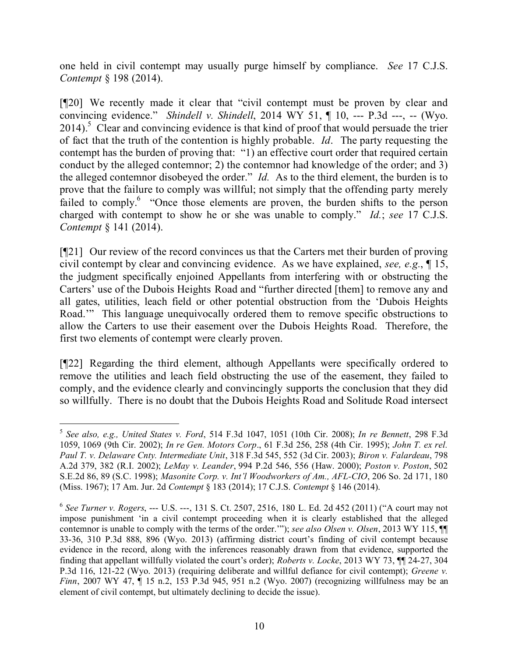one held in civil contempt may usually purge himself by compliance. *See* 17 C.J.S. *Contempt* § 198 (2014).

[¶20] We recently made it clear that "civil contempt must be proven by clear and convincing evidence." *Shindell v. Shindell*, 2014 WY 51, ¶ 10, --- P.3d ---, -- (Wyo. 2014).<sup>5</sup> Clear and convincing evidence is that kind of proof that would persuade the trier of fact that the truth of the contention is highly probable. *Id*. The party requesting the contempt has the burden of proving that: "1) an effective court order that required certain conduct by the alleged contemnor; 2) the contemnor had knowledge of the order; and 3) the alleged contemnor disobeyed the order." *Id.* As to the third element, the burden is to prove that the failure to comply was willful; not simply that the offending party merely failed to comply.<sup>6</sup> "Once those elements are proven, the burden shifts to the person charged with contempt to show he or she was unable to comply." *Id.*; *see* 17 C.J.S. *Contempt* § 141 (2014).

[¶21] Our review of the record convinces us that the Carters met their burden of proving civil contempt by clear and convincing evidence. As we have explained, *see, e.g.*, ¶ 15, the judgment specifically enjoined Appellants from interfering with or obstructing the Carters' use of the Dubois Heights Road and "further directed [them] to remove any and all gates, utilities, leach field or other potential obstruction from the 'Dubois Heights Road.'" This language unequivocally ordered them to remove specific obstructions to allow the Carters to use their easement over the Dubois Heights Road. Therefore, the first two elements of contempt were clearly proven.

[¶22] Regarding the third element, although Appellants were specifically ordered to remove the utilities and leach field obstructing the use of the easement, they failed to comply, and the evidence clearly and convincingly supports the conclusion that they did so willfully. There is no doubt that the Dubois Heights Road and Solitude Road intersect

<sup>5</sup> *See also, e.g., United States v. Ford*, 514 F.3d 1047, 1051 (10th Cir. 2008); *In re Bennett*, 298 F.3d 1059, 1069 (9th Cir. 2002); *In re Gen. Motors Corp*., 61 F.3d 256, 258 (4th Cir. 1995); *John T. ex rel. Paul T. v. Delaware Cnty. Intermediate Unit*, 318 F.3d 545, 552 (3d Cir. 2003); *Biron v. Falardeau*, 798 A.2d 379, 382 (R.I. 2002); *LeMay v. Leander*, 994 P.2d 546, 556 (Haw. 2000); *Poston v. Poston*, 502 S.E.2d 86, 89 (S.C. 1998); *Masonite Corp. v. Int'l Woodworkers of Am., AFL-CIO*, 206 So. 2d 171, 180 (Miss. 1967); 17 Am. Jur. 2d *Contempt* § 183 (2014); 17 C.J.S. *Contempt* § 146 (2014).

<sup>6</sup> *See Turner v. Rogers*, --- U.S. ---, 131 S. Ct. 2507, 2516, 180 L. Ed. 2d 452 (2011) ("A court may not impose punishment 'in a civil contempt proceeding when it is clearly established that the alleged contemnor is unable to comply with the terms of the order.'"); *see also Olsen v. Olsen*, 2013 WY 115, ¶¶ 33-36, 310 P.3d 888, 896 (Wyo. 2013) (affirming district court's finding of civil contempt because evidence in the record, along with the inferences reasonably drawn from that evidence, supported the finding that appellant willfully violated the court's order); *Roberts v. Locke*, 2013 WY 73, ¶¶ 24-27, 304 P.3d 116, 121-22 (Wyo. 2013) (requiring deliberate and willful defiance for civil contempt); *Greene v. Finn*, 2007 WY 47, 15 n.2, 153 P.3d 945, 951 n.2 (Wyo. 2007) (recognizing willfulness may be an element of civil contempt, but ultimately declining to decide the issue).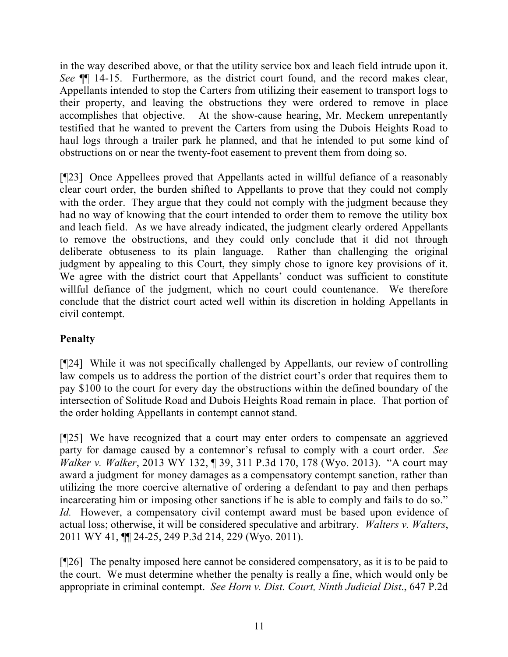in the way described above, or that the utility service box and leach field intrude upon it. *See* ¶¶ 14-15. Furthermore, as the district court found, and the record makes clear, Appellants intended to stop the Carters from utilizing their easement to transport logs to their property, and leaving the obstructions they were ordered to remove in place accomplishes that objective. At the show-cause hearing, Mr. Meckem unrepentantly testified that he wanted to prevent the Carters from using the Dubois Heights Road to haul logs through a trailer park he planned, and that he intended to put some kind of obstructions on or near the twenty-foot easement to prevent them from doing so.

[¶23] Once Appellees proved that Appellants acted in willful defiance of a reasonably clear court order, the burden shifted to Appellants to prove that they could not comply with the order. They argue that they could not comply with the judgment because they had no way of knowing that the court intended to order them to remove the utility box and leach field. As we have already indicated, the judgment clearly ordered Appellants to remove the obstructions, and they could only conclude that it did not through deliberate obtuseness to its plain language. Rather than challenging the original judgment by appealing to this Court, they simply chose to ignore key provisions of it. We agree with the district court that Appellants' conduct was sufficient to constitute willful defiance of the judgment, which no court could countenance. We therefore conclude that the district court acted well within its discretion in holding Appellants in civil contempt.

# **Penalty**

[¶24] While it was not specifically challenged by Appellants, our review of controlling law compels us to address the portion of the district court's order that requires them to pay \$100 to the court for every day the obstructions within the defined boundary of the intersection of Solitude Road and Dubois Heights Road remain in place. That portion of the order holding Appellants in contempt cannot stand.

[¶25] We have recognized that a court may enter orders to compensate an aggrieved party for damage caused by a contemnor's refusal to comply with a court order. *See Walker v. Walker*, 2013 WY 132, ¶ 39, 311 P.3d 170, 178 (Wyo. 2013). "A court may award a judgment for money damages as a compensatory contempt sanction, rather than utilizing the more coercive alternative of ordering a defendant to pay and then perhaps incarcerating him or imposing other sanctions if he is able to comply and fails to do so." *Id.* However, a compensatory civil contempt award must be based upon evidence of actual loss; otherwise, it will be considered speculative and arbitrary. *Walters v. Walters*, 2011 WY 41, ¶¶ 24-25, 249 P.3d 214, 229 (Wyo. 2011).

[¶26] The penalty imposed here cannot be considered compensatory, as it is to be paid to the court. We must determine whether the penalty is really a fine, which would only be appropriate in criminal contempt. *See Horn v. Dist. Court, Ninth Judicial Dist*., 647 P.2d